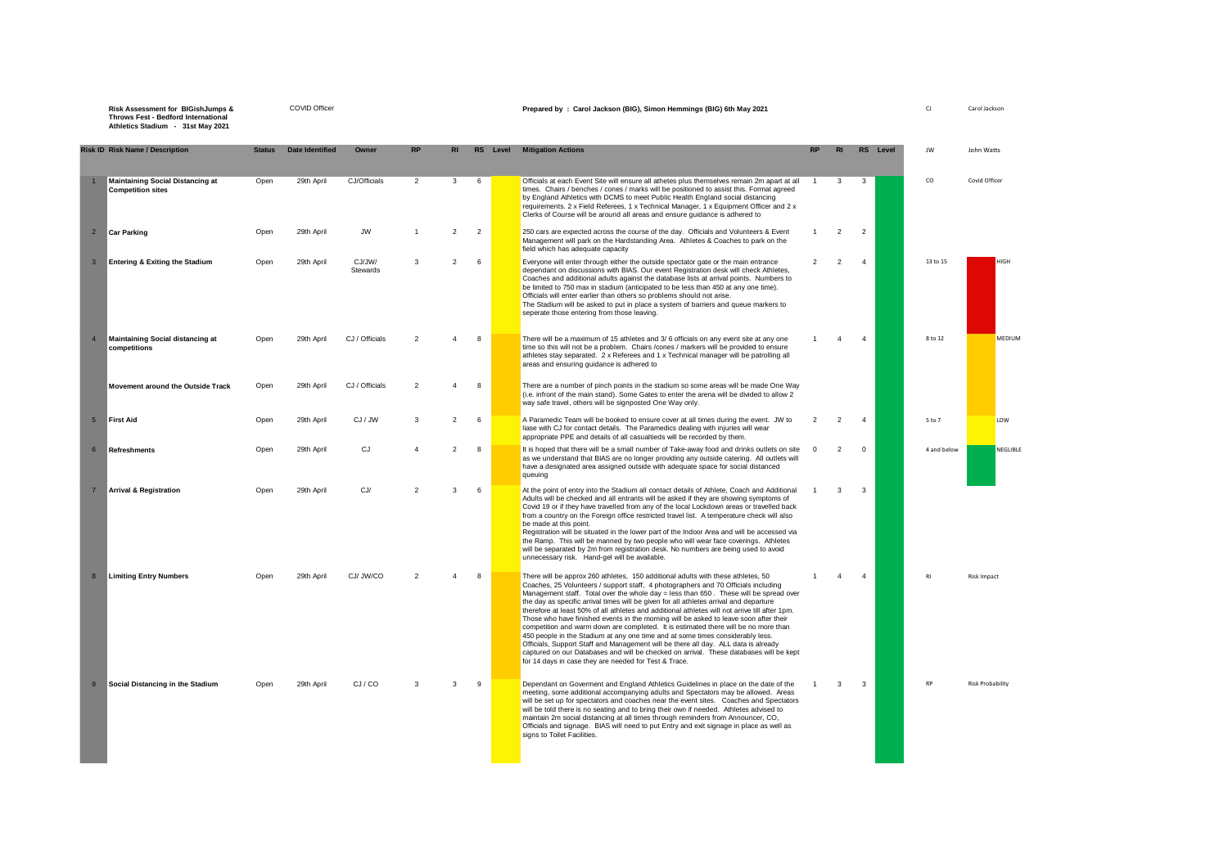**Risk Assessment for BIGishJumps & Throws Fest - Bedford International Athletics Stadium - 31st May 2021**

| <b>Risk ID Risk Name / Description</b>                             | <b>Status</b> | <b>Date Identified</b> | Owner              | <b>RP</b>                |                | <b>RS</b>      | Level | <b>Mitigation Actions</b>                                                                                                                                                                                                                                                                                                                                                                                                                                                                                                                                                                                                                                                                                                                                                                                                                                                                                                                                              |                |                |                | RS Level | IW          | John Watts              |
|--------------------------------------------------------------------|---------------|------------------------|--------------------|--------------------------|----------------|----------------|-------|------------------------------------------------------------------------------------------------------------------------------------------------------------------------------------------------------------------------------------------------------------------------------------------------------------------------------------------------------------------------------------------------------------------------------------------------------------------------------------------------------------------------------------------------------------------------------------------------------------------------------------------------------------------------------------------------------------------------------------------------------------------------------------------------------------------------------------------------------------------------------------------------------------------------------------------------------------------------|----------------|----------------|----------------|----------|-------------|-------------------------|
| Maintaining Social Distancing at<br><b>Competition sites</b>       | Open          | 29th April             | CJ/Officials       | $\overline{2}$           | $\mathbf{3}$   | 6              |       | Officials at each Event Site will ensure all athetes plus themselves remain 2m apart at all<br>times. Chairs / benches / cones / marks will be positioned to assist this. Format agreed<br>by England Athletics with DCMS to meet Public Health England social distancing<br>requirements. 2 x Field Referees, 1 x Technical Manager, 1 x Equipment Officer and 2 x<br>Clerks of Course will be around all areas and ensure guidance is adhered to                                                                                                                                                                                                                                                                                                                                                                                                                                                                                                                     | $\overline{1}$ | 3              | 3              |          | CO          | Covid Officer           |
| Car Parking<br>$\overline{2}$                                      | Open          | 29th April             | <b>JW</b>          |                          | $\overline{2}$ | $\overline{2}$ |       | 250 cars are expected across the course of the day. Officials and Volunteers & Event<br>Management will park on the Hardstanding Area. Athletes & Coaches to park on the<br>field which has adequate capacity                                                                                                                                                                                                                                                                                                                                                                                                                                                                                                                                                                                                                                                                                                                                                          | $\mathbf{1}$   | 2              | $\overline{2}$ |          |             |                         |
| 3 <sup>2</sup><br><b>Entering &amp; Exiting the Stadium</b>        | Open          | 29th April             | CJ/JW/<br>Stewards | 3                        | $\overline{2}$ | 6              |       | Everyone will enter through either the outside spectator gate or the main entrance<br>dependant on discussions with BIAS. Our event Registration desk will check Athletes,<br>Coaches and additional adults against the database lists at arrival points. Numbers to<br>be limited to 750 max in stadium (anticipated to be less than 450 at any one time).<br>Officials will enter earlier than others so problems should not arise.<br>The Stadium will be asked to put in place a system of barriers and queue markers to<br>seperate those entering from those leaving.                                                                                                                                                                                                                                                                                                                                                                                            | $\overline{2}$ | $\overline{2}$ | $\overline{4}$ |          | 13 to 15    | HIGH                    |
| $\overline{4}$<br>Maintaining Social distancing at<br>competitions | Onen          | 29th April             | CJ / Officials     | $\mathcal{P}$            | $\Delta$       | 8              |       | There will be a maximum of 15 athletes and 3/6 officials on any event site at any one<br>time so this will not be a problem. Chairs /cones / markers will be provided to ensure<br>athletes stay separated. 2 x Referees and 1 x Technical manager will be patrolling all<br>areas and ensuring guidance is adhered to                                                                                                                                                                                                                                                                                                                                                                                                                                                                                                                                                                                                                                                 |                |                | $\Delta$       |          | 8 to 12     | MEDIUM                  |
| Movement around the Outside Track                                  | Open          | 29th April             | CJ / Officials     | $\overline{2}$           | $\mathbf{A}$   | 8              |       | There are a number of pinch points in the stadium so some areas will be made One Way<br>(i.e. infront of the main stand). Some Gates to enter the arena will be divided to allow 2<br>way safe travel, others will be signposted One Way only.                                                                                                                                                                                                                                                                                                                                                                                                                                                                                                                                                                                                                                                                                                                         |                |                |                |          |             |                         |
| 5 <sup>5</sup><br>First Aid                                        | Open          | 29th April             | CJ / JW            | 3                        | $\overline{2}$ | 6              |       | A Paramedic Team will be booked to ensure cover at all times during the event. JW to<br>liase with CJ for contact details. The Paramedics dealing with injuries will wear<br>appropriate PPE and details of all casualtieds will be recorded by them.                                                                                                                                                                                                                                                                                                                                                                                                                                                                                                                                                                                                                                                                                                                  | $\mathfrak{p}$ | 2              | $\mathbf{A}$   |          | 5 to 7      | LOW                     |
| <b>Refreshments</b><br>6                                           | Open          | 29th April             | CJ                 |                          | $\overline{2}$ | 8              |       | It is hoped that there will be a small number of Take-away food and drinks outlets on site<br>as we understand that BIAS are no longer providing any outside catering. All outlets will<br>have a designated area assigned outside with adequate space for social distanced<br>queuing                                                                                                                                                                                                                                                                                                                                                                                                                                                                                                                                                                                                                                                                                 | $\Omega$       | 2              | $\mathbf 0$    |          | 4 and below | NEGLIBLE                |
| <b>Arrival &amp; Registration</b><br>$\overline{7}$                | Onen          | 29th April             | CJ/                | $\overline{\phantom{0}}$ | 3              | 6              |       | At the point of entry into the Stadium all contact details of Athlete, Coach and Additional<br>Adults will be checked and all entrants will be asked if they are showing symptoms of<br>Covid 19 or if they have travelled from any of the local Lockdown areas or travelled back<br>from a country on the Foreign office restricted travel list. A temperature check will also<br>be made at this point.<br>Registration will be situated in the lower part of the Indoor Area and will be accessed via<br>the Ramp. This will be manned by two people who will wear face coverings. Athletes<br>will be separated by 2m from registration desk. No numbers are being used to avoid<br>unnecessary risk. Hand-gel will be available.                                                                                                                                                                                                                                  |                | 3              | 3              |          |             |                         |
| 8<br><b>Limiting Entry Numbers</b>                                 | Onen          | 29th April             | CJ/ JW/CO          | $\overline{2}$           | $\mathbf{A}$   | 8              |       | There will be approx 260 athletes, 150 additional adults with these athletes, 50<br>Coaches, 25 Volunteers / support staff, 4 photographers and 70 Officials including<br>Management staff. Total over the whole day = less than 650. These will be spread over<br>the day as specific arrival times will be given for all athletes arrival and departure<br>therefore at least 50% of all athletes and additional athletes will not arrive till after 1pm.<br>Those who have finished events in the morning will be asked to leave soon after their<br>competition and warm down are completed. It is estimated there will be no more than<br>450 people in the Stadium at any one time and at some times considerably less.<br>Officials, Support Staff and Management will be there all day. ALL data is already<br>captured on our Databases and will be checked on arrival. These databases will be kept<br>for 14 days in case they are needed for Test & Trace. | -1             | Δ              | $\mathbf{A}$   |          | RI          | <b>Risk Impact</b>      |
| 9<br>Social Distancing in the Stadium                              | Open          | 29th April             | CJ/CO              | 3                        | 3              | 9              |       | Dependant on Goverment and England Athletics Guidelines in place on the date of the<br>meeting, some additional accompanying adults and Spectators may be allowed. Areas<br>will be set up for spectators and coaches near the event sites. Coaches and Spectators<br>will be told there is no seating and to bring their own if needed. Athletes advised to<br>maintain 2m social distancing at all times through reminders from Announcer, CO,<br>Officials and signage. BIAS will need to put Entry and exit signage in place as well as<br>signs to Toilet Facilities.                                                                                                                                                                                                                                                                                                                                                                                             | $\overline{1}$ | 3              | 3              |          | RP          | <b>Risk Probability</b> |